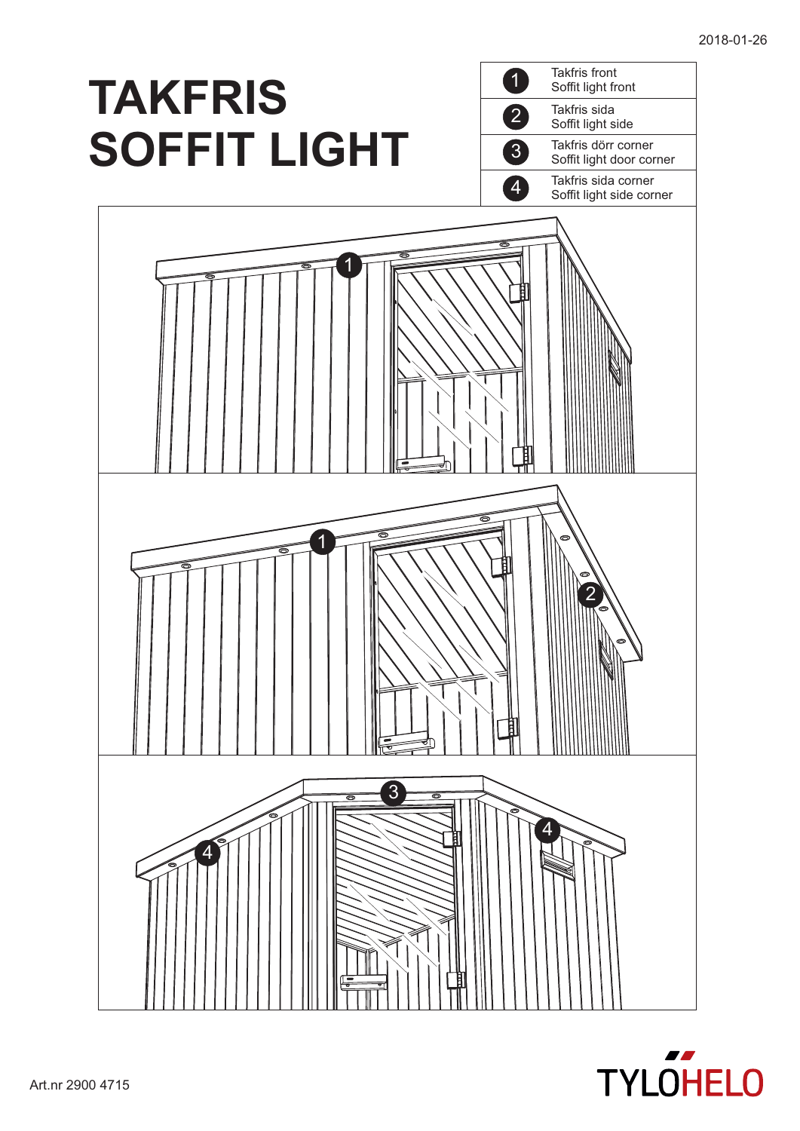

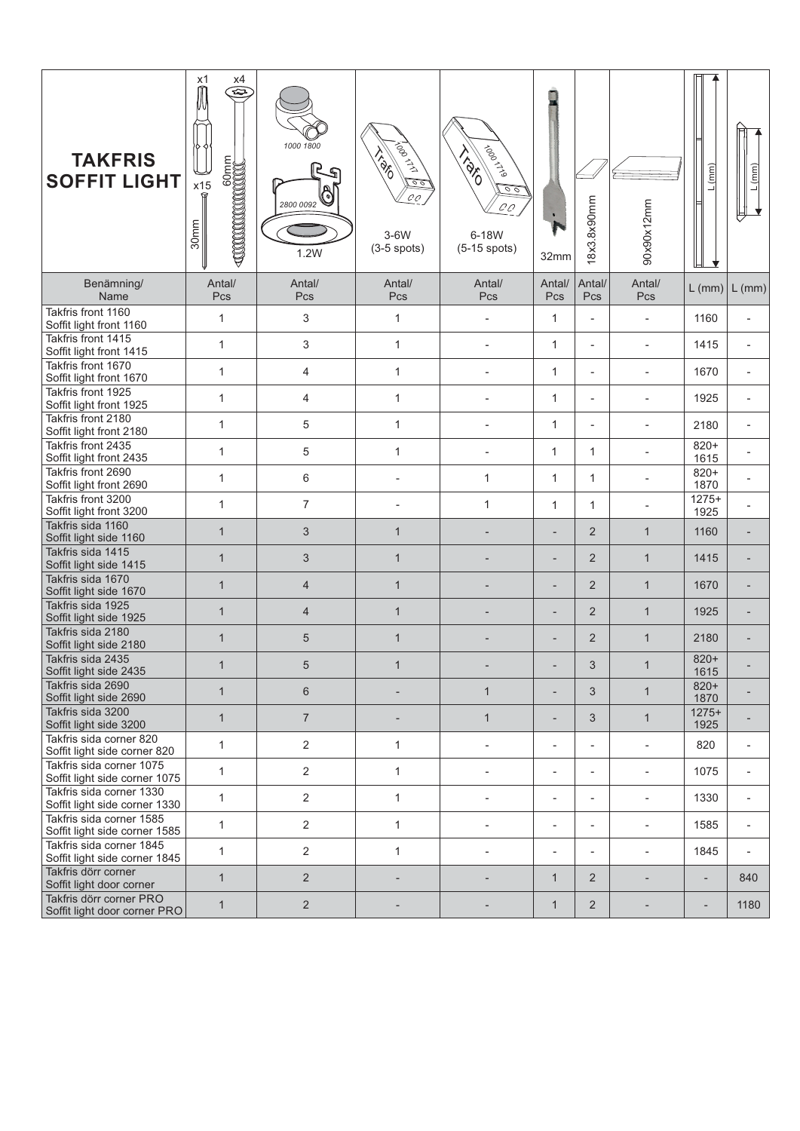| <b>TAKFRIS</b><br><b>SOFFIT LIGHT</b>                     | x1<br>x4<br>$\widehat{\mathbb{Z}}$<br>x15<br>30mm | 1000 1800<br>2800 0092<br>1.2W | <b>Agonthi</b><br><b>PRO</b><br>$\frac{\circ}{\circ}$<br>$\mathcal{C}\mathcal{O}$<br>3-6W<br>$(3-5$ spots) | <b>1100011999</b><br>IBRID<br>$\frac{1}{\sqrt{2}}$<br>$C\mathcal{C}$<br>6-18W<br>$(5-15$ spots) | 32mm                     | 18x3.8x90mm              | 90x90x12mm               | (mm)                     | (mm)                     |
|-----------------------------------------------------------|---------------------------------------------------|--------------------------------|------------------------------------------------------------------------------------------------------------|-------------------------------------------------------------------------------------------------|--------------------------|--------------------------|--------------------------|--------------------------|--------------------------|
| Benämning/<br>Name                                        | Antal/<br>Pcs                                     | Antal/<br>Pcs                  | Antal/<br>Pcs                                                                                              | Antal/<br>Pcs                                                                                   | Antal/<br>Pcs            | Antal/<br>Pcs            | Antal/<br>Pcs            | $L$ (mm)                 | $L$ (mm)                 |
| Takfris front 1160<br>Soffit light front 1160             | 1                                                 | 3                              | 1                                                                                                          |                                                                                                 | $\mathbf{1}$             | $\overline{\phantom{a}}$ | $\overline{\phantom{a}}$ | 1160                     |                          |
| Takfris front 1415<br>Soffit light front 1415             | 1                                                 | 3                              | 1                                                                                                          | $\qquad \qquad \blacksquare$                                                                    | 1                        | $\overline{\phantom{a}}$ | $\overline{\phantom{a}}$ | 1415                     |                          |
| Takfris front 1670<br>Soffit light front 1670             | $\mathbf{1}$                                      | 4                              | $\mathbf{1}$                                                                                               |                                                                                                 | $\mathbf{1}$             | ÷,                       | $\overline{\phantom{a}}$ | 1670                     |                          |
| Takfris front 1925<br>Soffit light front 1925             | 1                                                 | 4                              | 1                                                                                                          |                                                                                                 | $\mathbf{1}$             | $\overline{\phantom{a}}$ | ÷,                       | 1925                     |                          |
| Takfris front 2180<br>Soffit light front 2180             | 1                                                 | 5                              | $\mathbf{1}$                                                                                               | ٠                                                                                               | $\mathbf{1}$             | $\overline{\phantom{a}}$ | $\overline{\phantom{a}}$ | 2180                     |                          |
| Takfris front 2435<br>Soffit light front 2435             | $\mathbf{1}$                                      | 5                              | $\mathbf{1}$                                                                                               | $\qquad \qquad \blacksquare$                                                                    | $\mathbf{1}$             | $\mathbf{1}$             | $\overline{\phantom{a}}$ | $820+$<br>1615           |                          |
| Takfris front 2690<br>Soffit light front 2690             | 1                                                 | 6                              |                                                                                                            | $\mathbf{1}$                                                                                    | $\mathbf{1}$             | $\mathbf{1}$             | ÷,                       | $820+$<br>1870           |                          |
| Takfris front 3200<br>Soffit light front 3200             | 1                                                 | $\overline{7}$                 | $\overline{\phantom{a}}$                                                                                   | $\mathbf{1}$                                                                                    | $\mathbf{1}$             | $\mathbf{1}$             | $\overline{\phantom{a}}$ | $1275+$<br>1925          |                          |
| Takfris sida 1160<br>Soffit light side 1160               | $\mathbf{1}$                                      | $\sqrt{3}$                     | $\mathbf{1}$                                                                                               |                                                                                                 | $\overline{a}$           | 2                        | $\mathbf{1}$             | 1160                     |                          |
| Takfris sida 1415<br>Soffit light side 1415               | $\mathbf{1}$                                      | 3                              | $\mathbf{1}$                                                                                               |                                                                                                 | $\overline{a}$           | 2                        | $\mathbf{1}$             | 1415                     |                          |
| Takfris sida 1670<br>Soffit light side 1670               | $\mathbf{1}$                                      | $\overline{4}$                 | $\mathbf{1}$                                                                                               |                                                                                                 | $\overline{a}$           | 2                        | $\mathbf{1}$             | 1670                     |                          |
| Takfris sida 1925<br>Soffit light side 1925               | $\mathbf{1}$                                      | $\overline{4}$                 | $\mathbf{1}$                                                                                               |                                                                                                 | $\overline{a}$           | $\overline{2}$           | $\mathbf{1}$             | 1925                     |                          |
| Takfris sida 2180<br>Soffit light side 2180               | $\mathbf{1}$                                      | 5                              | $\mathbf{1}$                                                                                               |                                                                                                 |                          | $\overline{2}$           | $\mathbf{1}$             | 2180                     |                          |
| Takfris sida 2435<br>Soffit light side 2435               | $\mathbf{1}$                                      | 5                              | $\mathbf{1}$                                                                                               |                                                                                                 |                          | 3                        | $\mathbf 1$              | $820+$<br>1615           |                          |
| Takfris sida 2690<br>Soffit light side 2690               | $\mathbf{1}$                                      | 6                              | $\overline{a}$                                                                                             | $\mathbf{1}$                                                                                    | $\overline{\phantom{a}}$ | 3                        | $\mathbf{1}$             | $820+$<br>1870           |                          |
| Takfris sida 3200<br>Soffit light side 3200               | $\mathbf{1}$                                      | $\overline{7}$                 |                                                                                                            | $\mathbf{1}$                                                                                    |                          | 3                        | $\mathbf{1}$             | $1275+$<br>1925          |                          |
| Takfris sida corner 820<br>Soffit light side corner 820   | $\mathbf{1}$                                      | $\overline{2}$                 | $\mathbf{1}$                                                                                               |                                                                                                 |                          |                          |                          | 820                      |                          |
| Takfris sida corner 1075<br>Soffit light side corner 1075 | 1                                                 | $\overline{2}$                 | $\mathbf{1}$                                                                                               | $\overline{\phantom{a}}$                                                                        | $\overline{\phantom{a}}$ | $\overline{\phantom{a}}$ | $\overline{\phantom{a}}$ | 1075                     | $\overline{\phantom{a}}$ |
| Takfris sida corner 1330<br>Soffit light side corner 1330 | $\mathbf{1}$                                      | $\overline{2}$                 | $\mathbf{1}$                                                                                               | $\overline{\phantom{a}}$                                                                        | $\overline{\phantom{a}}$ | $\overline{\phantom{a}}$ | $\overline{\phantom{a}}$ | 1330                     | $\overline{\phantom{a}}$ |
| Takfris sida corner 1585<br>Soffit light side corner 1585 | $\mathbf{1}$                                      | $\overline{2}$                 | $\mathbf{1}$                                                                                               |                                                                                                 | $\overline{\phantom{a}}$ | $\overline{\phantom{a}}$ | $\overline{\phantom{a}}$ | 1585                     | $\overline{\phantom{a}}$ |
| Takfris sida corner 1845<br>Soffit light side corner 1845 | 1                                                 | $\overline{2}$                 | $\mathbf{1}$                                                                                               | $\blacksquare$                                                                                  | $\overline{\phantom{a}}$ | $\overline{\phantom{a}}$ | $\overline{\phantom{a}}$ | 1845                     | $\overline{\phantom{a}}$ |
| Takfris dörr corner<br>Soffit light door corner           | $\mathbf{1}$                                      | $\overline{2}$                 | $\overline{\phantom{a}}$                                                                                   |                                                                                                 | $\mathbf{1}$             | 2                        | $\overline{\phantom{a}}$ | $\overline{a}$           | 840                      |
| Takfris dörr corner PRO<br>Soffit light door corner PRO   | $\mathbf{1}$                                      | $\overline{2}$                 |                                                                                                            |                                                                                                 | $\mathbf{1}$             | 2                        |                          | $\overline{\phantom{a}}$ | 1180                     |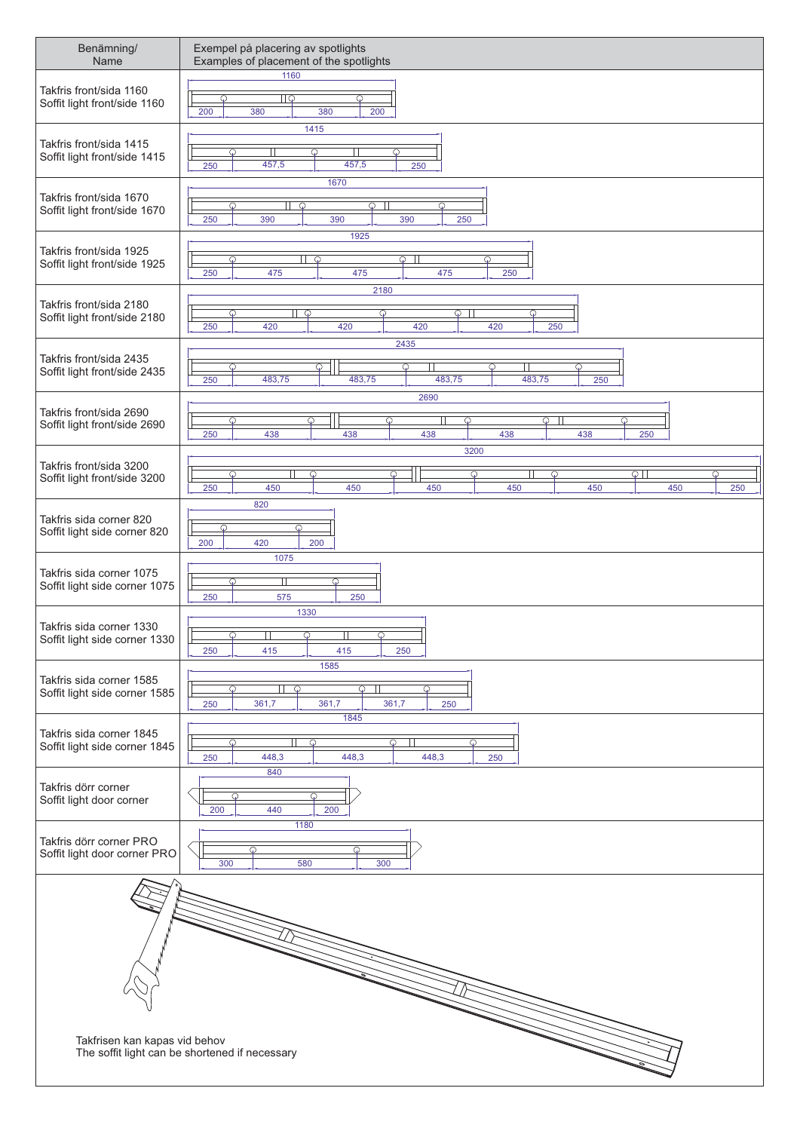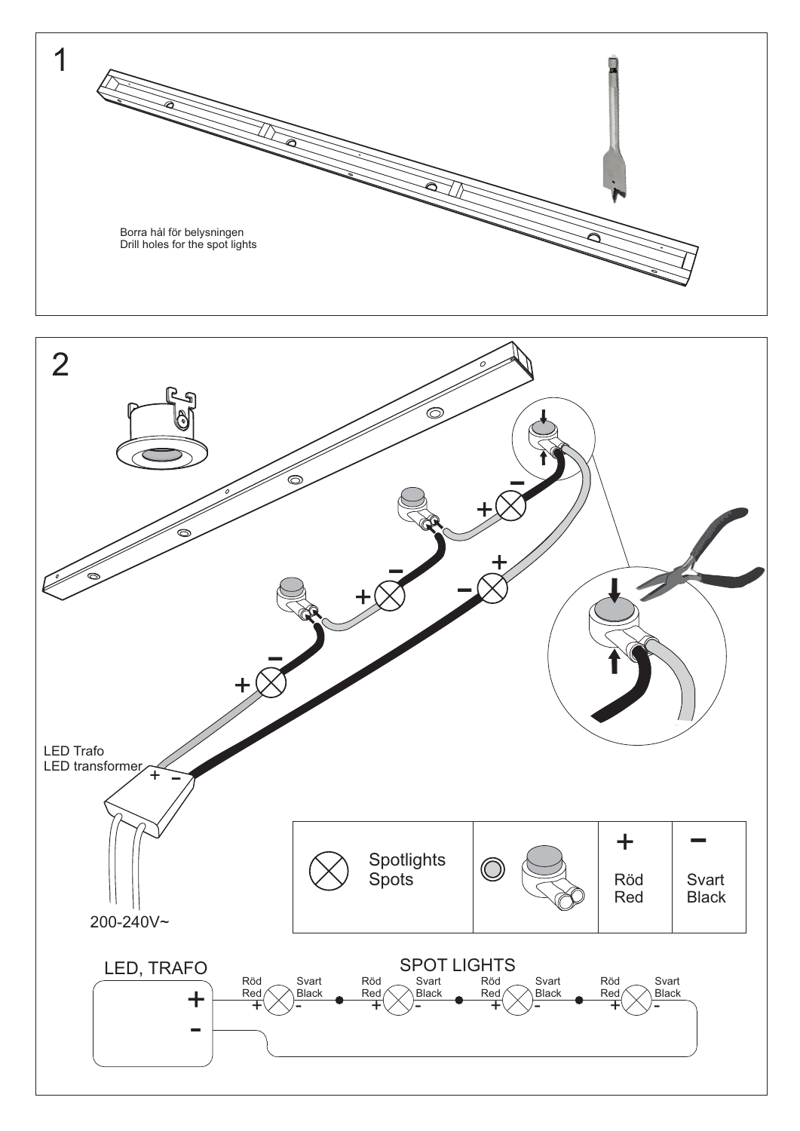

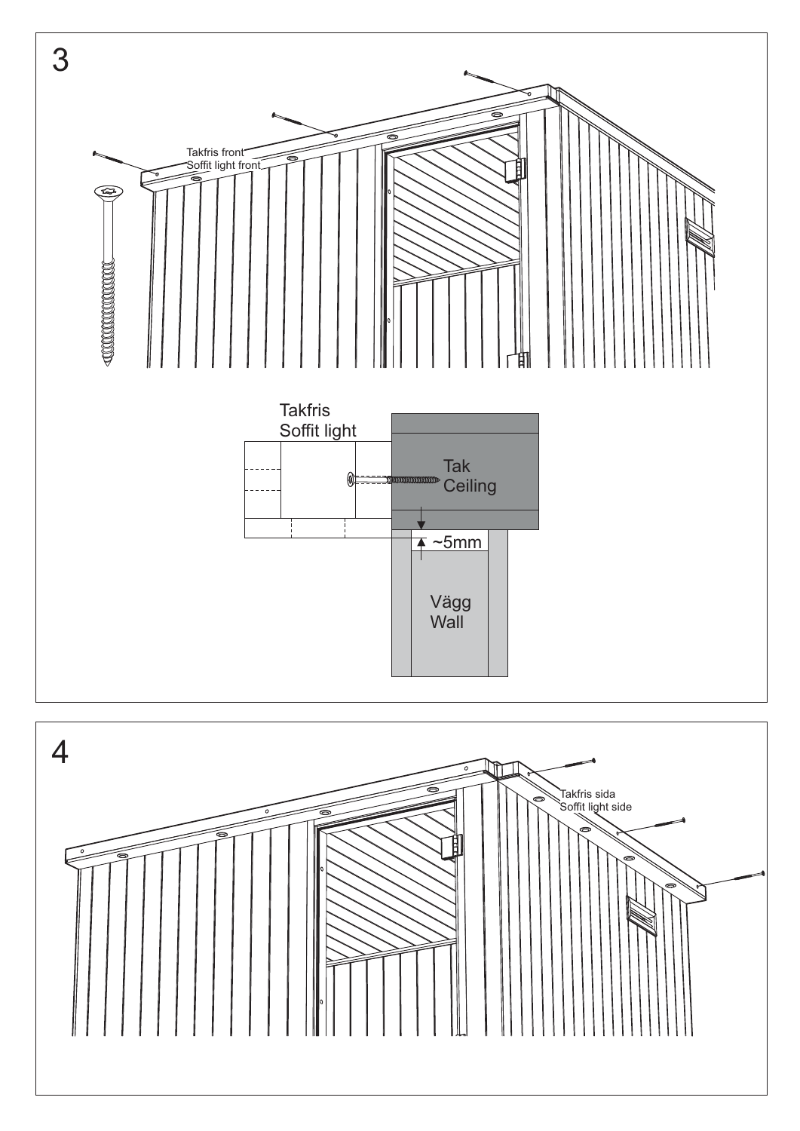

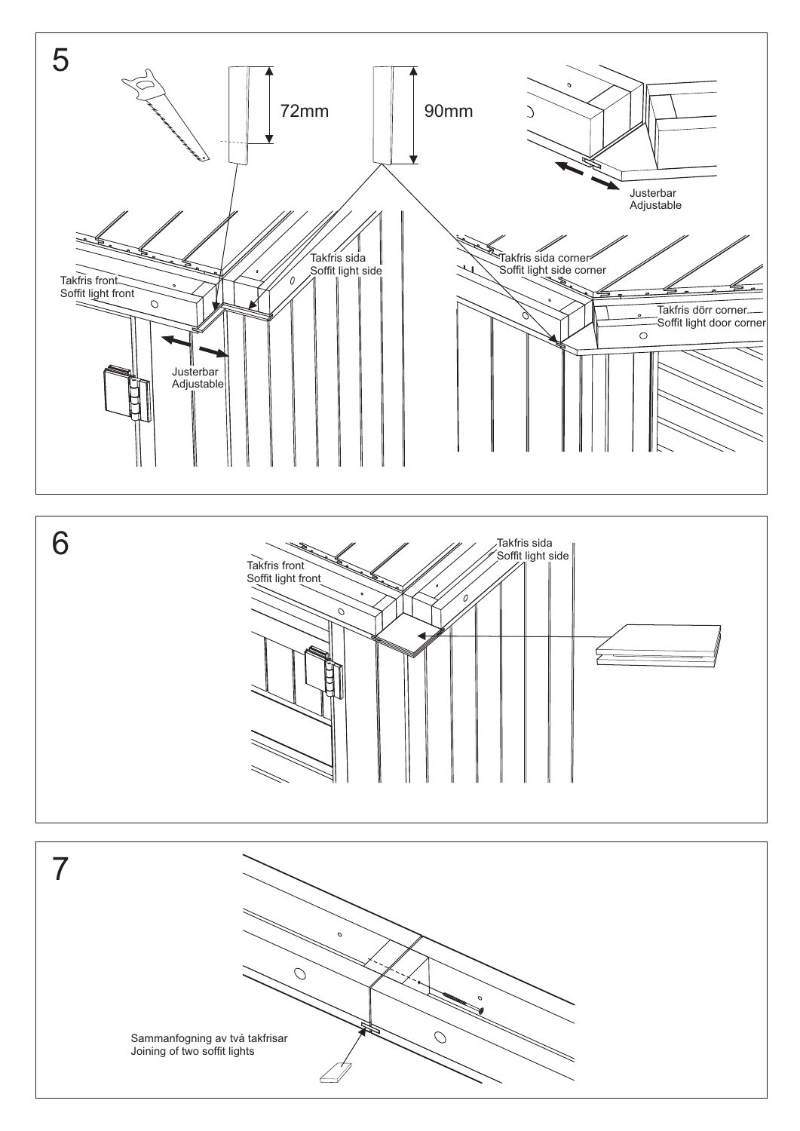